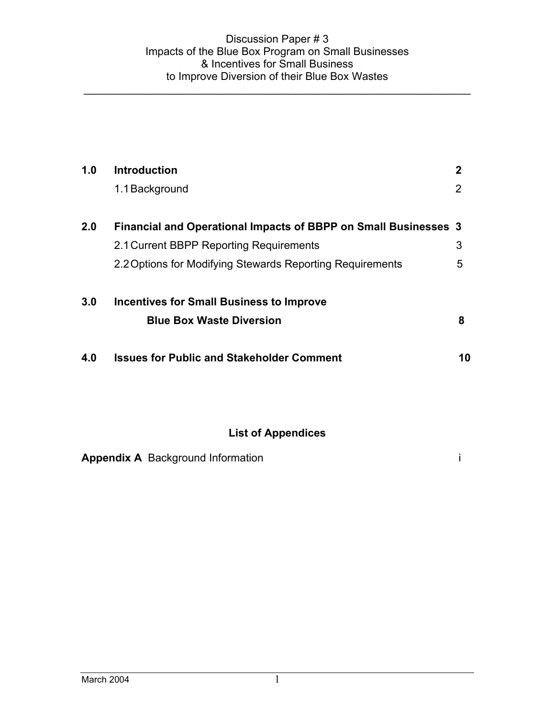| 1.0 | <b>Introduction</b>                                                    | $\mathbf 2$ |
|-----|------------------------------------------------------------------------|-------------|
|     | 1.1 Background                                                         | 2           |
| 2.0 | <b>Financial and Operational Impacts of BBPP on Small Businesses 3</b> |             |
|     | 2.1 Current BBPP Reporting Requirements                                | 3           |
|     | 2.2 Options for Modifying Stewards Reporting Requirements              | 5           |
| 3.0 | <b>Incentives for Small Business to Improve</b>                        |             |
|     | <b>Blue Box Waste Diversion</b>                                        | 8           |
| 4.0 | <b>Issues for Public and Stakeholder Comment</b>                       | 10          |
|     |                                                                        |             |
|     | <b>List of Appendices</b>                                              |             |

|  | <b>Appendix A</b> Background Information |  |
|--|------------------------------------------|--|
|--|------------------------------------------|--|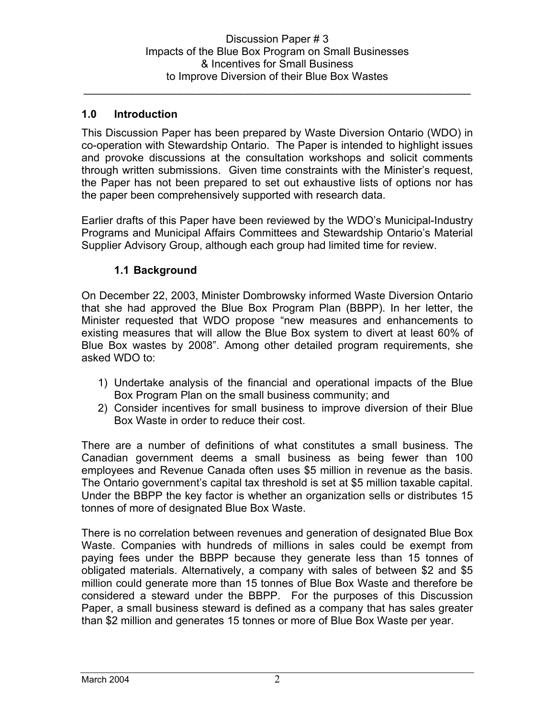# **1.0 Introduction**

This Discussion Paper has been prepared by Waste Diversion Ontario (WDO) in co-operation with Stewardship Ontario. The Paper is intended to highlight issues and provoke discussions at the consultation workshops and solicit comments through written submissions. Given time constraints with the Minister's request, the Paper has not been prepared to set out exhaustive lists of options nor has the paper been comprehensively supported with research data.

Earlier drafts of this Paper have been reviewed by the WDO's Municipal-Industry Programs and Municipal Affairs Committees and Stewardship Ontario's Material Supplier Advisory Group, although each group had limited time for review.

# **1.1 Background**

On December 22, 2003, Minister Dombrowsky informed Waste Diversion Ontario that she had approved the Blue Box Program Plan (BBPP). In her letter, the Minister requested that WDO propose "new measures and enhancements to existing measures that will allow the Blue Box system to divert at least 60% of Blue Box wastes by 2008". Among other detailed program requirements, she asked WDO to:

- 1) Undertake analysis of the financial and operational impacts of the Blue Box Program Plan on the small business community; and
- 2) Consider incentives for small business to improve diversion of their Blue Box Waste in order to reduce their cost.

There are a number of definitions of what constitutes a small business. The Canadian government deems a small business as being fewer than 100 employees and Revenue Canada often uses \$5 million in revenue as the basis. The Ontario government's capital tax threshold is set at \$5 million taxable capital. Under the BBPP the key factor is whether an organization sells or distributes 15 tonnes of more of designated Blue Box Waste.

There is no correlation between revenues and generation of designated Blue Box Waste. Companies with hundreds of millions in sales could be exempt from paying fees under the BBPP because they generate less than 15 tonnes of obligated materials. Alternatively, a company with sales of between \$2 and \$5 million could generate more than 15 tonnes of Blue Box Waste and therefore be considered a steward under the BBPP. For the purposes of this Discussion Paper, a small business steward is defined as a company that has sales greater than \$2 million and generates 15 tonnes or more of Blue Box Waste per year.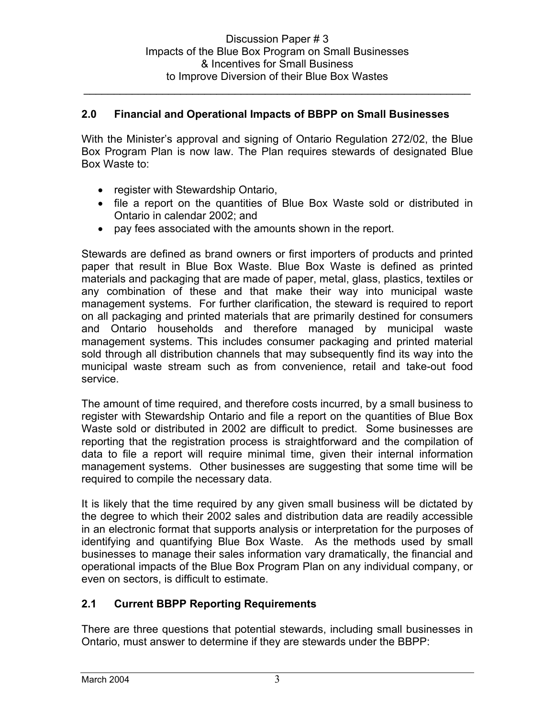# **2.0 Financial and Operational Impacts of BBPP on Small Businesses**

With the Minister's approval and signing of Ontario Regulation 272/02, the Blue Box Program Plan is now law. The Plan requires stewards of designated Blue Box Waste to:

- register with Stewardship Ontario,
- file a report on the quantities of Blue Box Waste sold or distributed in Ontario in calendar 2002; and
- pay fees associated with the amounts shown in the report.

Stewards are defined as brand owners or first importers of products and printed paper that result in Blue Box Waste. Blue Box Waste is defined as printed materials and packaging that are made of paper, metal, glass, plastics, textiles or any combination of these and that make their way into municipal waste management systems. For further clarification, the steward is required to report on all packaging and printed materials that are primarily destined for consumers and Ontario households and therefore managed by municipal waste management systems. This includes consumer packaging and printed material sold through all distribution channels that may subsequently find its way into the municipal waste stream such as from convenience, retail and take-out food service.

The amount of time required, and therefore costs incurred, by a small business to register with Stewardship Ontario and file a report on the quantities of Blue Box Waste sold or distributed in 2002 are difficult to predict. Some businesses are reporting that the registration process is straightforward and the compilation of data to file a report will require minimal time, given their internal information management systems. Other businesses are suggesting that some time will be required to compile the necessary data.

It is likely that the time required by any given small business will be dictated by the degree to which their 2002 sales and distribution data are readily accessible in an electronic format that supports analysis or interpretation for the purposes of identifying and quantifying Blue Box Waste. As the methods used by small businesses to manage their sales information vary dramatically, the financial and operational impacts of the Blue Box Program Plan on any individual company, or even on sectors, is difficult to estimate.

# **2.1 Current BBPP Reporting Requirements**

There are three questions that potential stewards, including small businesses in Ontario, must answer to determine if they are stewards under the BBPP: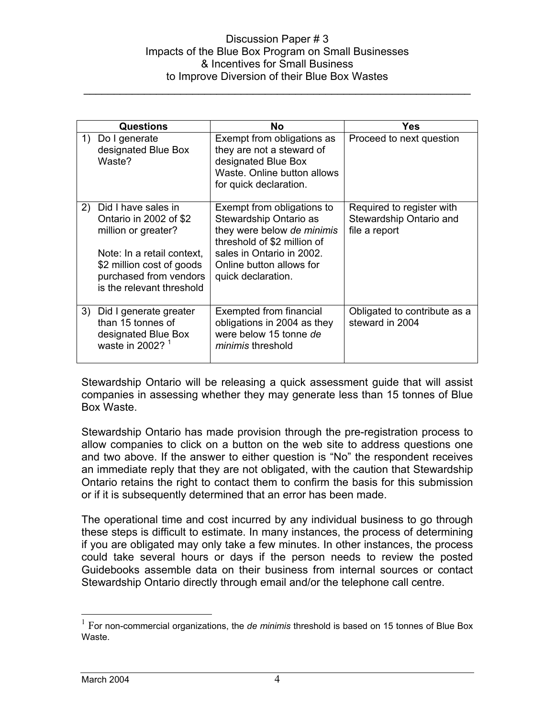#### Discussion Paper # 3 Impacts of the Blue Box Program on Small Businesses & Incentives for Small Business to Improve Diversion of their Blue Box Wastes

\_\_\_\_\_\_\_\_\_\_\_\_\_\_\_\_\_\_\_\_\_\_\_\_\_\_\_\_\_\_\_\_\_\_\_\_\_\_\_\_\_\_\_\_\_\_\_\_\_\_\_\_\_\_\_\_\_\_\_\_\_\_\_\_

| Questions |                                                                                                                                                                                        | No                                                                                                                                                                                               | Yes                                                                   |
|-----------|----------------------------------------------------------------------------------------------------------------------------------------------------------------------------------------|--------------------------------------------------------------------------------------------------------------------------------------------------------------------------------------------------|-----------------------------------------------------------------------|
| 1)        | Do I generate<br>designated Blue Box<br>Waste?                                                                                                                                         | Exempt from obligations as<br>they are not a steward of<br>designated Blue Box<br>Waste, Online button allows<br>for quick declaration.                                                          | Proceed to next question                                              |
| 2)        | Did I have sales in<br>Ontario in 2002 of \$2<br>million or greater?<br>Note: In a retail context,<br>\$2 million cost of goods<br>purchased from vendors<br>is the relevant threshold | Exempt from obligations to<br>Stewardship Ontario as<br>they were below de minimis<br>threshold of \$2 million of<br>sales in Ontario in 2002.<br>Online button allows for<br>quick declaration. | Required to register with<br>Stewardship Ontario and<br>file a report |
| 3)        | Did I generate greater<br>than 15 tonnes of<br>designated Blue Box<br>waste in 2002? $1$                                                                                               | Exempted from financial<br>obligations in 2004 as they<br>were below 15 tonne de<br><i>minimis</i> threshold                                                                                     | Obligated to contribute as a<br>steward in 2004                       |

Stewardship Ontario will be releasing a quick assessment guide that will assist companies in assessing whether they may generate less than 15 tonnes of Blue Box Waste.

Stewardship Ontario has made provision through the pre-registration process to allow companies to click on a button on the web site to address questions one and two above. If the answer to either question is "No" the respondent receives an immediate reply that they are not obligated, with the caution that Stewardship Ontario retains the right to contact them to confirm the basis for this submission or if it is subsequently determined that an error has been made.

The operational time and cost incurred by any individual business to go through these steps is difficult to estimate. In many instances, the process of determining if you are obligated may only take a few minutes. In other instances, the process could take several hours or days if the person needs to review the posted Guidebooks assemble data on their business from internal sources or contact Stewardship Ontario directly through email and/or the telephone call centre.

 $\overline{a}$ 

<sup>&</sup>lt;sup>1</sup> For non-commercial organizations, the *de minimis* threshold is based on 15 tonnes of Blue Box Waste.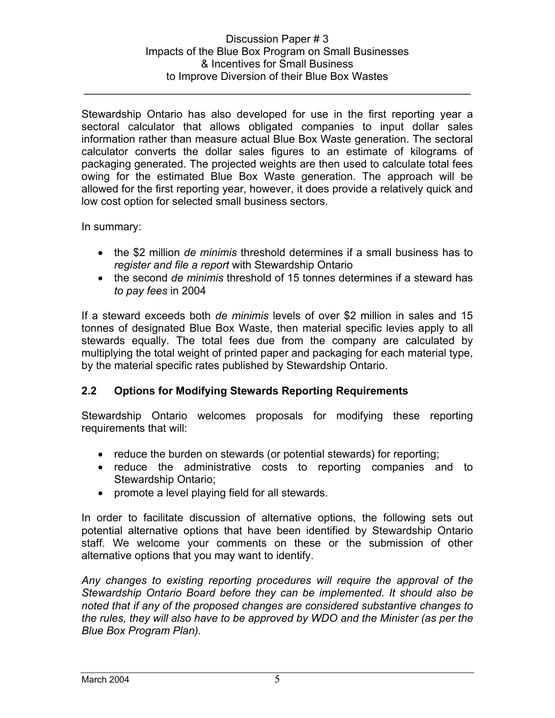Stewardship Ontario has also developed for use in the first reporting year a sectoral calculator that allows obligated companies to input dollar sales information rather than measure actual Blue Box Waste generation. The sectoral calculator converts the dollar sales figures to an estimate of kilograms of packaging generated. The projected weights are then used to calculate total fees owing for the estimated Blue Box Waste generation. The approach will be allowed for the first reporting year, however, it does provide a relatively quick and low cost option for selected small business sectors.

In summary:

- the \$2 million *de minimis* threshold determines if a small business has to *register and file a report* with Stewardship Ontario
- the second *de minimis* threshold of 15 tonnes determines if a steward has *to pay fees* in 2004

If a steward exceeds both *de minimis* levels of over \$2 million in sales and 15 tonnes of designated Blue Box Waste, then material specific levies apply to all stewards equally. The total fees due from the company are calculated by multiplying the total weight of printed paper and packaging for each material type, by the material specific rates published by Stewardship Ontario.

# **2.2 Options for Modifying Stewards Reporting Requirements**

Stewardship Ontario welcomes proposals for modifying these reporting requirements that will:

- reduce the burden on stewards (or potential stewards) for reporting;
- reduce the administrative costs to reporting companies and to Stewardship Ontario;
- promote a level playing field for all stewards.

In order to facilitate discussion of alternative options, the following sets out potential alternative options that have been identified by Stewardship Ontario staff. We welcome your comments on these or the submission of other alternative options that you may want to identify.

*Any changes to existing reporting procedures will require the approval of the Stewardship Ontario Board before they can be implemented. It should also be noted that if any of the proposed changes are considered substantive changes to the rules, they will also have to be approved by WDO and the Minister (as per the Blue Box Program Plan).*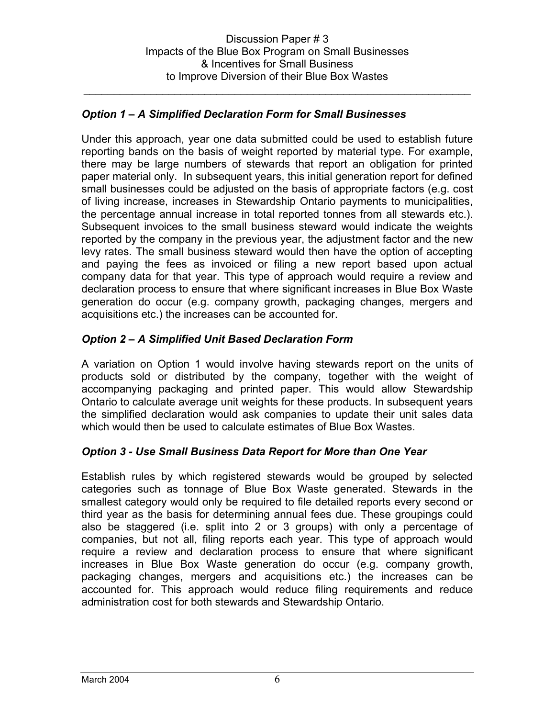# *Option 1 – A Simplified Declaration Form for Small Businesses*

Under this approach, year one data submitted could be used to establish future reporting bands on the basis of weight reported by material type. For example, there may be large numbers of stewards that report an obligation for printed paper material only. In subsequent years, this initial generation report for defined small businesses could be adjusted on the basis of appropriate factors (e.g. cost of living increase, increases in Stewardship Ontario payments to municipalities, the percentage annual increase in total reported tonnes from all stewards etc.). Subsequent invoices to the small business steward would indicate the weights reported by the company in the previous year, the adjustment factor and the new levy rates. The small business steward would then have the option of accepting and paying the fees as invoiced or filing a new report based upon actual company data for that year. This type of approach would require a review and declaration process to ensure that where significant increases in Blue Box Waste generation do occur (e.g. company growth, packaging changes, mergers and acquisitions etc.) the increases can be accounted for.

# *Option 2 – A Simplified Unit Based Declaration Form*

A variation on Option 1 would involve having stewards report on the units of products sold or distributed by the company, together with the weight of accompanying packaging and printed paper. This would allow Stewardship Ontario to calculate average unit weights for these products. In subsequent years the simplified declaration would ask companies to update their unit sales data which would then be used to calculate estimates of Blue Box Wastes.

# *Option 3 - Use Small Business Data Report for More than One Year*

Establish rules by which registered stewards would be grouped by selected categories such as tonnage of Blue Box Waste generated. Stewards in the smallest category would only be required to file detailed reports every second or third year as the basis for determining annual fees due. These groupings could also be staggered (i.e. split into 2 or 3 groups) with only a percentage of companies, but not all, filing reports each year. This type of approach would require a review and declaration process to ensure that where significant increases in Blue Box Waste generation do occur (e.g. company growth, packaging changes, mergers and acquisitions etc.) the increases can be accounted for. This approach would reduce filing requirements and reduce administration cost for both stewards and Stewardship Ontario.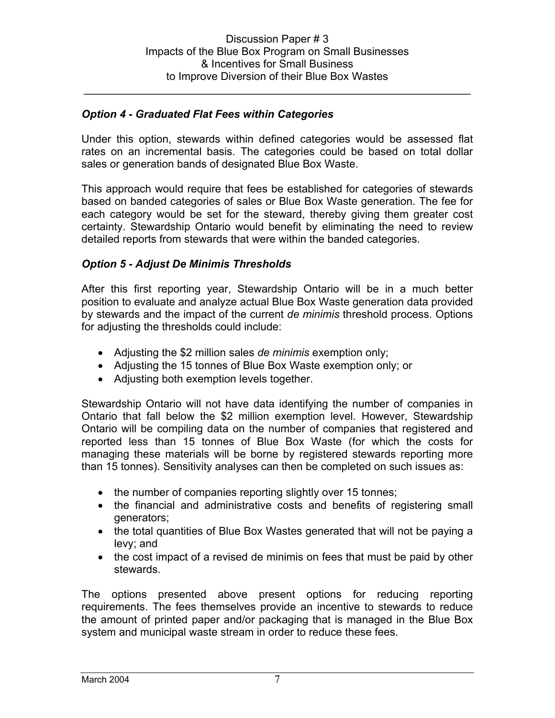### *Option 4 - Graduated Flat Fees within Categories*

Under this option, stewards within defined categories would be assessed flat rates on an incremental basis. The categories could be based on total dollar sales or generation bands of designated Blue Box Waste.

This approach would require that fees be established for categories of stewards based on banded categories of sales or Blue Box Waste generation. The fee for each category would be set for the steward, thereby giving them greater cost certainty. Stewardship Ontario would benefit by eliminating the need to review detailed reports from stewards that were within the banded categories.

### *Option 5 - Adjust De Minimis Thresholds*

After this first reporting year, Stewardship Ontario will be in a much better position to evaluate and analyze actual Blue Box Waste generation data provided by stewards and the impact of the current *de minimis* threshold process. Options for adjusting the thresholds could include:

- Adjusting the \$2 million sales *de minimis* exemption only;
- Adjusting the 15 tonnes of Blue Box Waste exemption only; or
- Adjusting both exemption levels together.

Stewardship Ontario will not have data identifying the number of companies in Ontario that fall below the \$2 million exemption level. However, Stewardship Ontario will be compiling data on the number of companies that registered and reported less than 15 tonnes of Blue Box Waste (for which the costs for managing these materials will be borne by registered stewards reporting more than 15 tonnes). Sensitivity analyses can then be completed on such issues as:

- the number of companies reporting slightly over 15 tonnes;
- the financial and administrative costs and benefits of registering small generators;
- the total quantities of Blue Box Wastes generated that will not be paying a levy; and
- the cost impact of a revised de minimis on fees that must be paid by other stewards.

The options presented above present options for reducing reporting requirements. The fees themselves provide an incentive to stewards to reduce the amount of printed paper and/or packaging that is managed in the Blue Box system and municipal waste stream in order to reduce these fees.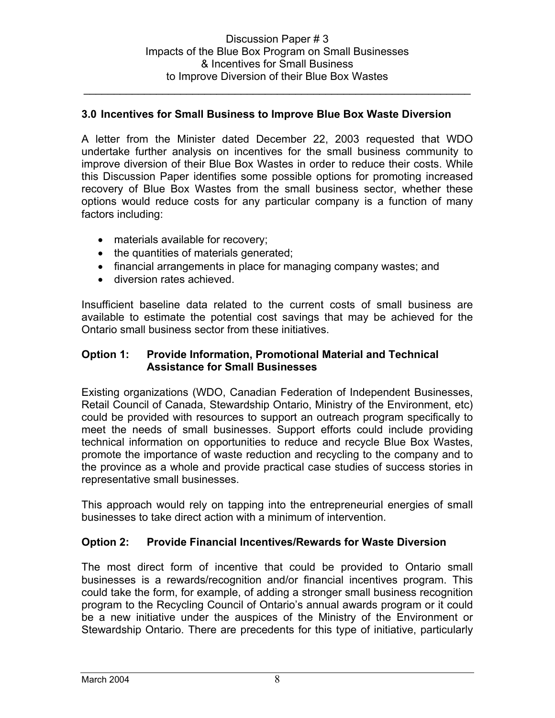### **3.0 Incentives for Small Business to Improve Blue Box Waste Diversion**

A letter from the Minister dated December 22, 2003 requested that WDO undertake further analysis on incentives for the small business community to improve diversion of their Blue Box Wastes in order to reduce their costs. While this Discussion Paper identifies some possible options for promoting increased recovery of Blue Box Wastes from the small business sector, whether these options would reduce costs for any particular company is a function of many factors including:

- materials available for recovery;
- the quantities of materials generated;
- financial arrangements in place for managing company wastes; and
- diversion rates achieved.

Insufficient baseline data related to the current costs of small business are available to estimate the potential cost savings that may be achieved for the Ontario small business sector from these initiatives.

### **Option 1: Provide Information, Promotional Material and Technical Assistance for Small Businesses**

Existing organizations (WDO, Canadian Federation of Independent Businesses, Retail Council of Canada, Stewardship Ontario, Ministry of the Environment, etc) could be provided with resources to support an outreach program specifically to meet the needs of small businesses. Support efforts could include providing technical information on opportunities to reduce and recycle Blue Box Wastes, promote the importance of waste reduction and recycling to the company and to the province as a whole and provide practical case studies of success stories in representative small businesses.

This approach would rely on tapping into the entrepreneurial energies of small businesses to take direct action with a minimum of intervention.

#### **Option 2: Provide Financial Incentives/Rewards for Waste Diversion**

The most direct form of incentive that could be provided to Ontario small businesses is a rewards/recognition and/or financial incentives program. This could take the form, for example, of adding a stronger small business recognition program to the Recycling Council of Ontario's annual awards program or it could be a new initiative under the auspices of the Ministry of the Environment or Stewardship Ontario. There are precedents for this type of initiative, particularly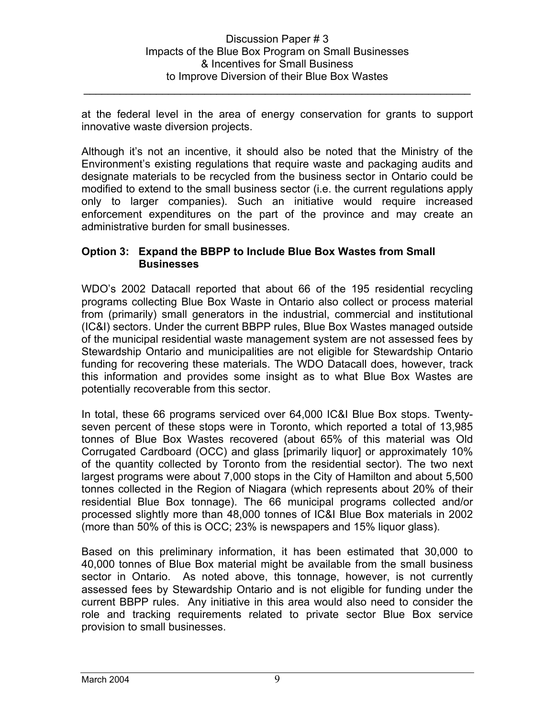at the federal level in the area of energy conservation for grants to support innovative waste diversion projects.

\_\_\_\_\_\_\_\_\_\_\_\_\_\_\_\_\_\_\_\_\_\_\_\_\_\_\_\_\_\_\_\_\_\_\_\_\_\_\_\_\_\_\_\_\_\_\_\_\_\_\_\_\_\_\_\_\_\_\_\_\_\_\_\_

Although it's not an incentive, it should also be noted that the Ministry of the Environment's existing regulations that require waste and packaging audits and designate materials to be recycled from the business sector in Ontario could be modified to extend to the small business sector (i.e. the current regulations apply only to larger companies). Such an initiative would require increased enforcement expenditures on the part of the province and may create an administrative burden for small businesses.

# **Option 3: Expand the BBPP to Include Blue Box Wastes from Small Businesses**

WDO's 2002 Datacall reported that about 66 of the 195 residential recycling programs collecting Blue Box Waste in Ontario also collect or process material from (primarily) small generators in the industrial, commercial and institutional (IC&I) sectors. Under the current BBPP rules, Blue Box Wastes managed outside of the municipal residential waste management system are not assessed fees by Stewardship Ontario and municipalities are not eligible for Stewardship Ontario funding for recovering these materials. The WDO Datacall does, however, track this information and provides some insight as to what Blue Box Wastes are potentially recoverable from this sector.

In total, these 66 programs serviced over 64,000 IC&I Blue Box stops. Twentyseven percent of these stops were in Toronto, which reported a total of 13,985 tonnes of Blue Box Wastes recovered (about 65% of this material was Old Corrugated Cardboard (OCC) and glass [primarily liquor] or approximately 10% of the quantity collected by Toronto from the residential sector). The two next largest programs were about 7,000 stops in the City of Hamilton and about 5,500 tonnes collected in the Region of Niagara (which represents about 20% of their residential Blue Box tonnage). The 66 municipal programs collected and/or processed slightly more than 48,000 tonnes of IC&I Blue Box materials in 2002 (more than 50% of this is OCC; 23% is newspapers and 15% liquor glass).

Based on this preliminary information, it has been estimated that 30,000 to 40,000 tonnes of Blue Box material might be available from the small business sector in Ontario. As noted above, this tonnage, however, is not currently assessed fees by Stewardship Ontario and is not eligible for funding under the current BBPP rules. Any initiative in this area would also need to consider the role and tracking requirements related to private sector Blue Box service provision to small businesses.